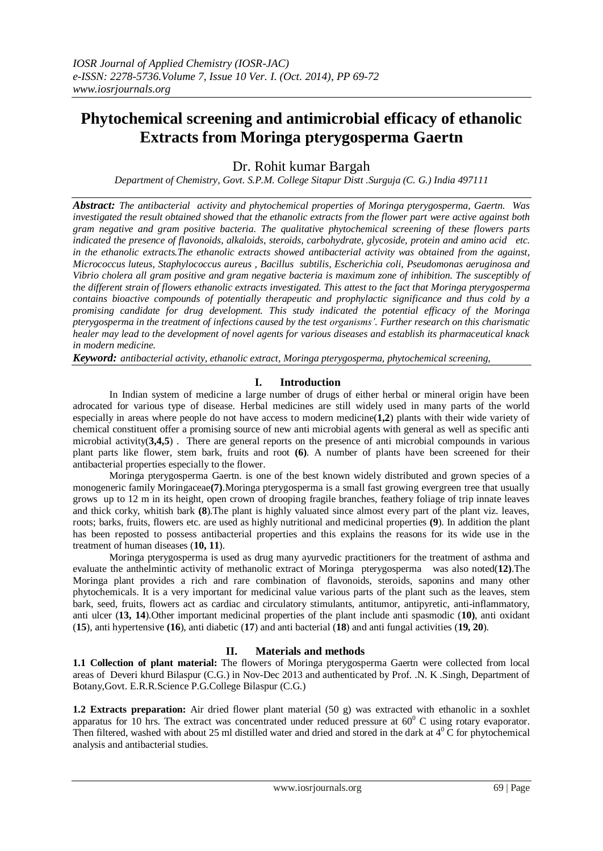# **Phytochemical screening and antimicrobial efficacy of ethanolic Extracts from Moringa pterygosperma Gaertn**

Dr. Rohit kumar Bargah

*Department of Chemistry, Govt. S.P.M. College Sitapur Distt .Surguja (C. G.) India 497111*

*Abstract: The antibacterial activity and phytochemical properties of Moringa pterygosperma, Gaertn. Was investigated the result obtained showed that the ethanolic extracts from the flower part were active against both gram negative and gram positive bacteria. The qualitative phytochemical screening of these flowers parts indicated the presence of flavonoids, alkaloids, steroids, carbohydrate, glycoside, protein and amino acid etc. in the ethanolic extracts.The ethanolic extracts showed antibacterial activity was obtained from the against, Micrococcus luteus, Staphylococcus aureus , Bacillus subtilis, Escherichia coli, Pseudomonas aeruginosa and Vibrio cholera all gram positive and gram negative bacteria is maximum zone of inhibition. The susceptibly of the different strain of flowers ethanolic extracts investigated. This attest to the fact that Moringa pterygosperma contains bioactive compounds of potentially therapeutic and prophylactic significance and thus cold by a promising candidate for drug development. This study indicated the potential efficacy of the Moringa pterygosperma in the treatment of infections caused by the test organisms'. Further research on this charismatic healer may lead to the development of novel agents for various diseases and establish its pharmaceutical knack in modern medicine.*

*Keyword: antibacterial activity, ethanolic extract, Moringa pterygosperma, phytochemical screening,*

## **I. Introduction**

In Indian system of medicine a large number of drugs of either herbal or mineral origin have been adrocated for various type of disease. Herbal medicines are still widely used in many parts of the world especially in areas where people do not have access to modern medicine(**1,2**) plants with their wide variety of chemical constituent offer a promising source of new anti microbial agents with general as well as specific anti microbial activity(**3,4,5**) . There are general reports on the presence of anti microbial compounds in various plant parts like flower, stem bark, fruits and root **(6)**. A number of plants have been screened for their antibacterial properties especially to the flower.

Moringa pterygosperma Gaertn. is one of the best known widely distributed and grown species of a monogeneric family Moringaceae**(7)**.Moringa pterygosperma is a small fast growing evergreen tree that usually grows up to 12 m in its height, open crown of drooping fragile branches, feathery foliage of trip innate leaves and thick corky, whitish bark **(8**).The plant is highly valuated since almost every part of the plant viz. leaves, roots; barks, fruits, flowers etc. are used as highly nutritional and medicinal properties **(9**). In addition the plant has been reposted to possess antibacterial properties and this explains the reasons for its wide use in the treatment of human diseases (**10, 11**).

Moringa pterygosperma is used as drug many ayurvedic practitioners for the treatment of asthma and evaluate the anthelmintic activity of methanolic extract of Moringa pterygosperma was also noted(**12)**.The Moringa plant provides a rich and rare combination of flavonoids, steroids, saponins and many other phytochemicals. It is a very important for medicinal value various parts of the plant such as the leaves, stem bark, seed, fruits, flowers act as cardiac and circulatory stimulants, antitumor, antipyretic, anti-inflammatory, anti ulcer (**13, 14**).Other important medicinal properties of the plant include anti spasmodic (**10)**, anti oxidant (**15**), anti hypertensive **(16**), anti diabetic (**17**) and anti bacterial (**18**) and anti fungal activities (**19, 20**).

## **II. Materials and methods**

**1.1 Collection of plant material:** The flowers of Moringa pterygosperma Gaertn were collected from local areas of Deveri khurd Bilaspur (C.G.) in Nov-Dec 2013 and authenticated by Prof. .N. K .Singh, Department of Botany,Govt. E.R.R.Science P.G.College Bilaspur (C.G.)

**1.2 Extracts preparation:** Air dried flower plant material (50 g) was extracted with ethanolic in a soxhlet apparatus for 10 hrs. The extract was concentrated under reduced pressure at  $60^{\circ}$  C using rotary evaporator. Then filtered, washed with about 25 ml distilled water and dried and stored in the dark at  $4^{\circ}$ C for phytochemical analysis and antibacterial studies.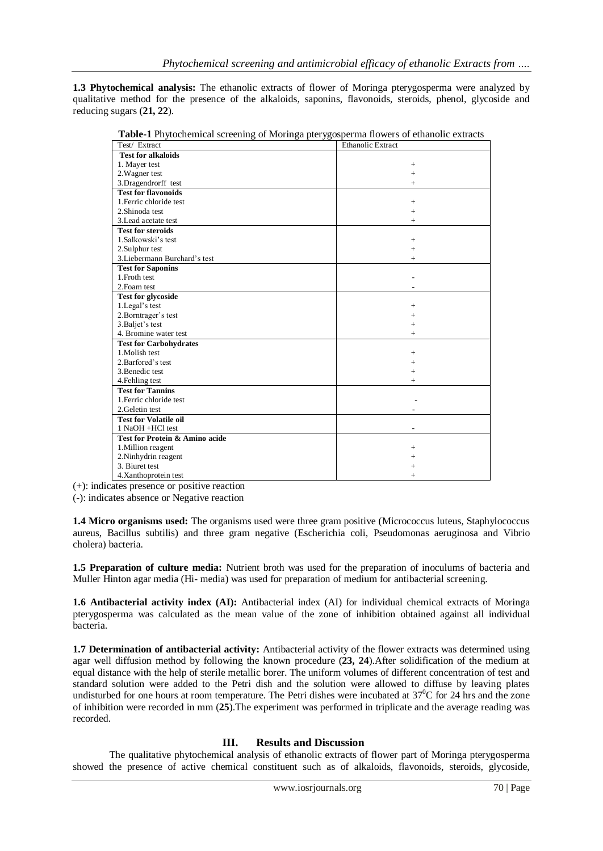**1.3 Phytochemical analysis:** The ethanolic extracts of flower of Moringa pterygosperma were analyzed by qualitative method for the presence of the alkaloids, saponins, flavonoids, steroids, phenol, glycoside and reducing sugars (**21, 22**).

| Test/ Extract                  | <b>Ethanolic Extract</b> |
|--------------------------------|--------------------------|
| <b>Test for alkaloids</b>      |                          |
| 1. Mayer test                  | $^{+}$                   |
| 2. Wagner test                 | $\ddot{}$                |
| 3.Dragendrorff test            | $^{+}$                   |
| <b>Test for flavonoids</b>     |                          |
| 1. Ferric chloride test        | $+$                      |
| 2. Shinoda test                | $^{+}$                   |
| 3. Lead acetate test           | $^{+}$                   |
| <b>Test for steroids</b>       |                          |
| 1.Salkowski's test             | $+$                      |
| 2. Sulphur test                | $+$                      |
| 3. Liebermann Burchard's test  | $+$                      |
| <b>Test for Saponins</b>       |                          |
| 1. Froth test                  |                          |
| 2. Foam test                   |                          |
| <b>Test for glycoside</b>      |                          |
| 1. Legal's test                | $^{+}$                   |
| 2.Borntrager's test            | $^{+}$                   |
| 3. Baljet's test               | $^{+}$                   |
| 4. Bromine water test          | $^{+}$                   |
| <b>Test for Carbohydrates</b>  |                          |
| 1. Molish test                 | $+$                      |
| 2. Barfored's test             | $+$                      |
| 3. Benedic test                | $\ddot{}$                |
| 4. Fehling test                | $^{+}$                   |
| <b>Test for Tannins</b>        |                          |
| 1. Ferric chloride test        |                          |
| 2. Geletin test                |                          |
| <b>Test for Volatile oil</b>   |                          |
| 1 NaOH +HCl test               |                          |
| Test for Protein & Amino acide |                          |
| 1. Million reagent             | $^{+}$                   |
| 2.Ninhydrin reagent            | $\ddot{}$                |
| 3. Biuret test                 | $+$                      |
| 4.Xanthoprotein test           | $+$                      |

**Table-1** Phytochemical screening of Moringa pterygosperma flowers of ethanolic extracts

(+): indicates presence or positive reaction

(-): indicates absence or Negative reaction

**1.4 Micro organisms used:** The organisms used were three gram positive (Micrococcus luteus, Staphylococcus aureus, Bacillus subtilis) and three gram negative (Escherichia coli, Pseudomonas aeruginosa and Vibrio cholera) bacteria.

**1.5 Preparation of culture media:** Nutrient broth was used for the preparation of inoculums of bacteria and Muller Hinton agar media (Hi- media) was used for preparation of medium for antibacterial screening.

**1.6 Antibacterial activity index (AI):** Antibacterial index (AI) for individual chemical extracts of Moringa pterygosperma was calculated as the mean value of the zone of inhibition obtained against all individual bacteria.

**1.7 Determination of antibacterial activity:** Antibacterial activity of the flower extracts was determined using agar well diffusion method by following the known procedure (**23, 24**).After solidification of the medium at equal distance with the help of sterile metallic borer. The uniform volumes of different concentration of test and standard solution were added to the Petri dish and the solution were allowed to diffuse by leaving plates undisturbed for one hours at room temperature. The Petri dishes were incubated at  $37^{\circ}$ C for 24 hrs and the zone of inhibition were recorded in mm (**25**).The experiment was performed in triplicate and the average reading was recorded.

#### **III. Results and Discussion**

The qualitative phytochemical analysis of ethanolic extracts of flower part of Moringa pterygosperma showed the presence of active chemical constituent such as of alkaloids, flavonoids, steroids, glycoside,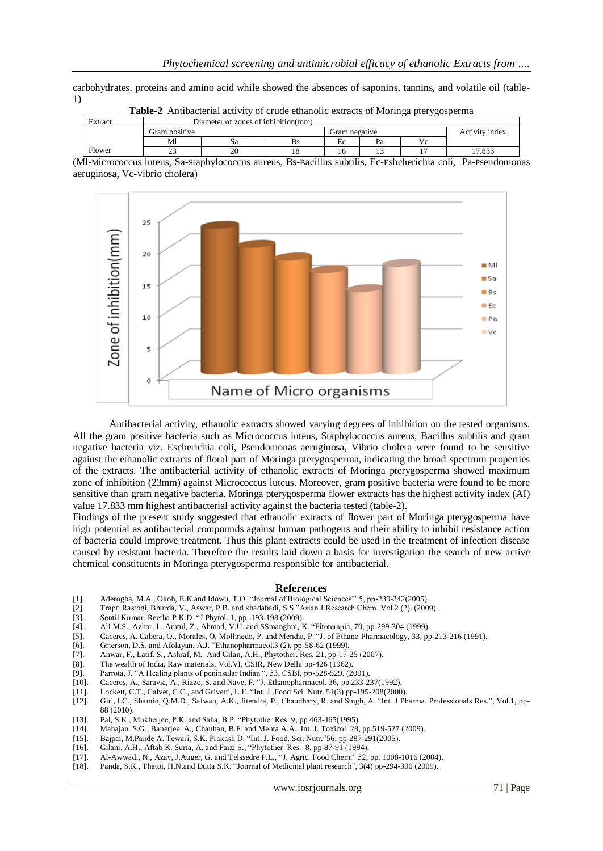carbohydrates, proteins and amino acid while showed the absences of saponins, tannins, and volatile oil (table-1)

|         | <b>THEIR A</b> THROUGHAI AGU TH'T OF GLAUG CHAIRDING CAUGGED OF INDITIION DIGITION TO DETERMINE          |                                     |    |    |    |    |                |  |  |
|---------|----------------------------------------------------------------------------------------------------------|-------------------------------------|----|----|----|----|----------------|--|--|
| Extract |                                                                                                          | Diameter of zones of inhibition(mm) |    |    |    |    |                |  |  |
|         | Gram positive                                                                                            | Gram negative                       |    |    |    |    | Activity index |  |  |
|         |                                                                                                          | Sа                                  | Bs | Ec | Pa | Vc |                |  |  |
| Flower  |                                                                                                          |                                     |    | 16 |    |    | 17.833         |  |  |
|         | Metapoooogus lutaus. Se stephylogoogus auraus. De pegillus subtilis. Ee Eshoberichie soli. De peepdemone |                                     |    |    |    |    |                |  |  |

**Table-2** Antibacterial activity of crude ethanolic extracts of Moringa pterygosperma

(Ml-Micrococcus luteus, Sa-Staphylococcus aureus, Bs-Bacillus subtilis, Ec-Eshcherichia coli, Pa-Psendomonas aeruginosa, Vc-Vibrio cholera)



Antibacterial activity, ethanolic extracts showed varying degrees of inhibition on the tested organisms. All the gram positive bacteria such as Micrococcus luteus, Staphylococcus aureus, Bacillus subtilis and gram negative bacteria viz. Escherichia coli, Psendomonas aeruginosa, Vibrio cholera were found to be sensitive against the ethanolic extracts of floral part of Moringa pterygosperma, indicating the broad spectrum properties of the extracts. The antibacterial activity of ethanolic extracts of Moringa pterygosperma showed maximum zone of inhibition (23mm) against Micrococcus luteus. Moreover, gram positive bacteria were found to be more sensitive than gram negative bacteria. Moringa pterygosperma flower extracts has the highest activity index (AI) value 17.833 mm highest antibacterial activity against the bacteria tested (table-2).

Findings of the present study suggested that ethanolic extracts of flower part of Moringa pterygosperma have high potential as antibacterial compounds against human pathogens and their ability to inhibit resistance action of bacteria could improve treatment. Thus this plant extracts could be used in the treatment of infection disease caused by resistant bacteria. Therefore the results laid down a basis for investigation the search of new active chemical constituents in Moringa pterygosperma responsible for antibacterial.

#### **References**

- [1]. Aderogba, M.A., Okoh, E.K.and Idowu, T.O. "Journal of Biological Sciences'' 5, pp-239-242(2005).
- [2]. Trapti Rastogi, Bhurda, V., Aswar, P.B. and khadabadi, S.S."Asian J.Research Chem. Vol.2 (2). (2009).
- [3]. Sentil Kumar, Reetha P.K.D. "J.Phytol. 1, pp -193-198 (2009).
- [4]. Ali M.S., Azhar, I., Amtul, Z., Ahmad, V.U. and SSmanghni, K. "Fitoterapia, 70, pp-299-304 (1999).
- [5]. Caceres, A. Cabera, O., Morales, O, Mollinedo, P. and Mendia, P. "J. of Ethano Pharmacology, 33, pp-213-216 (1991).
- [6]. Grierson, D.S. and Afolayan, A.J. "Ethanopharmacol.3 (2), pp-58-62 (1999).
- [7]. Anwar, F., Latif. S., Ashraf, M. And Gilan, A.H., Phytother. Res. 21, pp-17-25 (2007).
- [8]. The wealth of India, Raw materials, Vol.VI, CSIR, New Delhi pp-426 (1962).
- [9]. Parrota, J. "A Healing plants of peninsular Indian ", 53, CSBI, pp-528-529. (2001).
- [10]. Caceres, A., Saravia, A., Rizzo, S. and Nave, F. "J. Ethanopharmacol. 36, pp 233-237(1992).
- [11]. Lockett, C.T., Calvet, C.C., and Grivetti, L.E. "Int. J .Food Sci. Nutr. 51(3) pp-195-208(2000).
- [12]. Giri, I.C., Shamin, Q.M.D., Safwan, A.K., Jitendra, P., Chaudhary, R. and Singh, A. "Int. J Pharma. Professionals Res.", Vol.1, pp-88 (2010).
- [13]. Pal, S.K., Mukherjee, P.K. and Saha, B.P. "Phytother.Res. 9, pp 463-465(1995).
- [14]. Mahajan. S.G., Banerjee, A., Chauhan, B.F. and Mehta A.A., Int. J. Toxicol. 28, pp.519-527 (2009).
- [15]. Bajpai, M.Pande A. Tewari, S.K. Prakash D. "Int. J. Food. Sci. Nutr."56. pp-287-291(2005).
- [16]. Gilani, A.H., Aftab K. Suria, A. and Faizi S., "Phytother. Res. 8, pp-87-91 (1994).
- [17]. Al-Awwadi, N., Azay, J.Auger, G. and Telssedre P.L., "J. Agric. Food Chem." 52, pp. 1008-1016 (2004).
- [18]. Panda, S.K., Thatoi, H.N.and Dutta S.K. "Journal of Medicinal plant research", 3(4) pp-294-300 (2009).